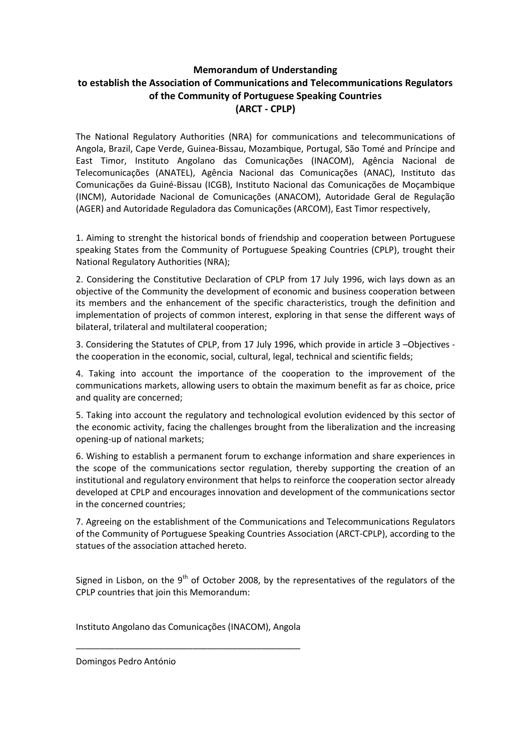## **Memorandum of Understanding to establish the Association of Communications and Telecommunications Regulators of the Community of Portuguese Speaking Countries (ARCT - CPLP)**

The National Regulatory Authorities (NRA) for communications and telecommunications of Angola, Brazil, Cape Verde, Guinea-Bissau, Mozambique, Portugal, São Tomé and Príncipe and East Timor, Instituto Angolano das Comunicações (INACOM), Agência Nacional de Telecomunicações (ANATEL), Agência Nacional das Comunicações (ANAC), Instituto das Comunicações da Guiné-Bissau (ICGB), Instituto Nacional das Comunicações de Moçambique (INCM), Autoridade Nacional de Comunicações (ANACOM), Autoridade Geral de Regulação (AGER) and Autoridade Reguladora das Comunicações (ARCOM), East Timor respectively,

1. Aiming to strenght the historical bonds of friendship and cooperation between Portuguese speaking States from the Community of Portuguese Speaking Countries (CPLP), trought their National Regulatory Authorities (NRA);

2. Considering the Constitutive Declaration of CPLP from 17 July 1996, wich lays down as an objective of the Community the development of economic and business cooperation between its members and the enhancement of the specific characteristics, trough the definition and implementation of projects of common interest, exploring in that sense the different ways of bilateral, trilateral and multilateral cooperation;

3. Considering the Statutes of CPLP, from 17 July 1996, which provide in article 3 –Objectives the cooperation in the economic, social, cultural, legal, technical and scientific fields;

4. Taking into account the importance of the cooperation to the improvement of the communications markets, allowing users to obtain the maximum benefit as far as choice, price and quality are concerned;

5. Taking into account the regulatory and technological evolution evidenced by this sector of the economic activity, facing the challenges brought from the liberalization and the increasing opening-up of national markets;

6. Wishing to establish a permanent forum to exchange information and share experiences in the scope of the communications sector regulation, thereby supporting the creation of an institutional and regulatory environment that helps to reinforce the cooperation sector already developed at CPLP and encourages innovation and development of the communications sector in the concerned countries;

7. Agreeing on the establishment of the Communications and Telecommunications Regulators of the Community of Portuguese Speaking Countries Association (ARCT-CPLP), according to the statues of the association attached hereto.

Signed in Lisbon, on the  $9<sup>th</sup>$  of October 2008, by the representatives of the regulators of the CPLP countries that join this Memorandum:

Instituto Angolano das Comunicações (INACOM), Angola

\_\_\_\_\_\_\_\_\_\_\_\_\_\_\_\_\_\_\_\_\_\_\_\_\_\_\_\_\_\_\_\_\_\_\_\_\_\_\_\_\_\_\_\_\_\_

Domingos Pedro António